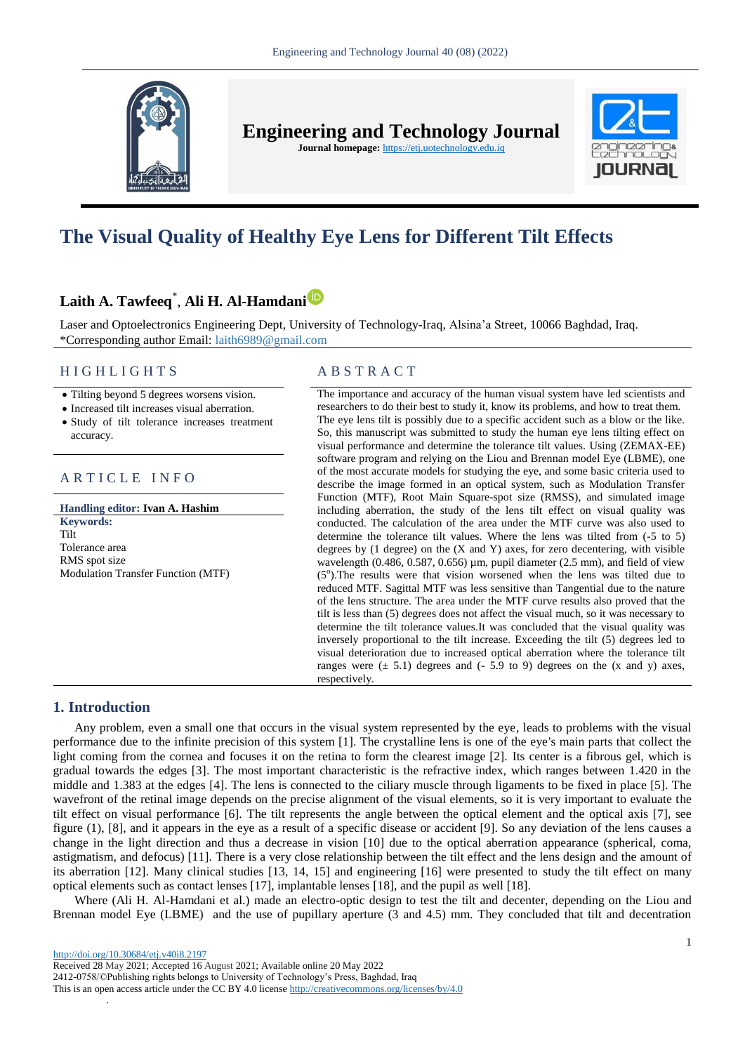

**Engineering and Technology Journal** 

**Journal homepage:** https://etj.uotechnology.edu.iq



# **The Visual Quality of Healthy Eye Lens for Different Tilt Effects**

## **Laith A. Tawfeeq**\* , **Ali H. Al-Hamdan[i](https://orcid.org/0000-0003-3086-2560)**

Laser and Optoelectronics Engineering Dept, University of Technology-Iraq, Alsina'a Street, 10066 Baghdad, Iraq. \*Corresponding author Email: laith6989@gmail.com

#### H I G H L I G H T S A B S T R A C T

• Tilting beyond 5 degrees worsens vision.

Increased tilt increases visual aberration.

 Study of tilt tolerance increases treatment accuracy.

#### ARTICLE INFO

**Handling editor: Ivan A. Hashim Keywords:** Tilt Tolerance area RMS spot size Modulation Transfer Function (MTF)

The importance and accuracy of the human visual system have led scientists and researchers to do their best to study it, know its problems, and how to treat them. The eye lens tilt is possibly due to a specific accident such as a blow or the like. So, this manuscript was submitted to study the human eye lens tilting effect on visual performance and determine the tolerance tilt values. Using (ZEMAX-EE) software program and relying on the Liou and Brennan model Eye (LBME), one of the most accurate models for studying the eye, and some basic criteria used to describe the image formed in an optical system, such as Modulation Transfer Function (MTF), Root Main Square-spot size (RMSS), and simulated image including aberration, the study of the lens tilt effect on visual quality was conducted. The calculation of the area under the MTF curve was also used to determine the tolerance tilt values. Where the lens was tilted from (-5 to 5) degrees by  $(1 \text{ degree})$  on the  $(X \text{ and } Y)$  axes, for zero decentering, with visible wavelength  $(0.486, 0.587, 0.656)$  µm, pupil diameter  $(2.5 \text{ mm})$ , and field of view  $(5^{\circ})$ . The results were that vision worsened when the lens was tilted due to reduced MTF. Sagittal MTF was less sensitive than Tangential due to the nature of the lens structure. The area under the MTF curve results also proved that the tilt is less than (5) degrees does not affect the visual much, so it was necessary to determine the tilt tolerance values.It was concluded that the visual quality was inversely proportional to the tilt increase. Exceeding the tilt (5) degrees led to visual deterioration due to increased optical aberration where the tolerance tilt ranges were  $(\pm 5.1)$  degrees and  $(-5.9 \text{ to } 9)$  degrees on the  $(x \text{ and } y)$  axes, respectively.

### **1. Introduction**

Any problem, even a small one that occurs in the visual system represented by the eye, leads to problems with the visual performance due to the infinite precision of this system [1]. The crystalline lens is one of the eye's main parts that collect the light coming from the cornea and focuses it on the retina to form the clearest image [2]. Its center is a fibrous gel, which is gradual towards the edges [3]. The most important characteristic is the refractive index, which ranges between 1.420 in the middle and 1.383 at the edges [4]. The lens is connected to the ciliary muscle through ligaments to be fixed in place [5]. The wavefront of the retinal image depends on the precise alignment of the visual elements, so it is very important to evaluate the tilt effect on visual performance [6]. The tilt represents the angle between the optical element and the optical axis [7], see figure (1), [8], and it appears in the eye as a result of a specific disease or accident [9]. So any deviation of the lens causes a change in the light direction and thus a decrease in vision [10] due to the optical aberration appearance (spherical, coma, astigmatism, and defocus) [11]. There is a very close relationship between the tilt effect and the lens design and the amount of its aberration [12]. Many clinical studies [13, 14, 15] and engineering [16] were presented to study the tilt effect on many optical elements such as contact lenses [17], implantable lenses [18], and the pupil as well [18].

Where (Ali H. Al-Hamdani et al.) made an electro-optic design to test the tilt and decenter, depending on the Liou and Brennan model Eye (LBME) and the use of pupillary aperture (3 and 4.5) mm. They concluded that tilt and decentration

.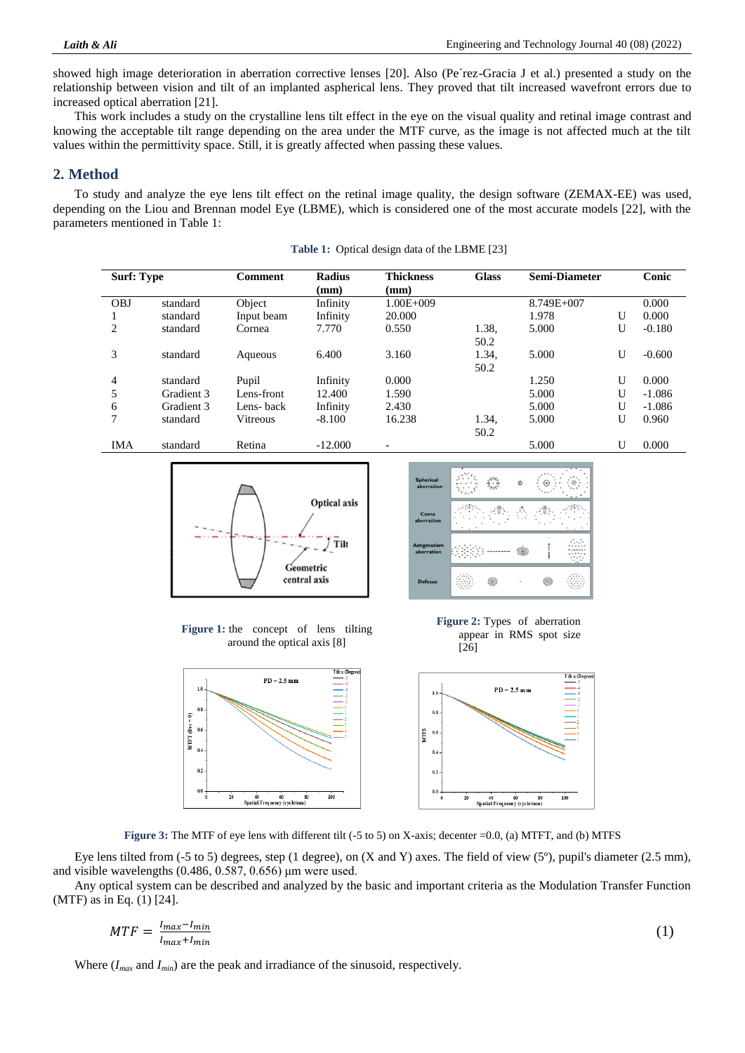showed high image deterioration in aberration corrective lenses [20]. Also (Pe´rez-Gracia J et al.) presented a study on the relationship between vision and tilt of an implanted aspherical lens. They proved that tilt increased wavefront errors due to increased optical aberration [21].

This work includes a study on the crystalline lens tilt effect in the eye on the visual quality and retinal image contrast and knowing the acceptable tilt range depending on the area under the MTF curve, as the image is not affected much at the tilt values within the permittivity space. Still, it is greatly affected when passing these values.

### **2. Method**

To study and analyze the eye lens tilt effect on the retinal image quality, the design software (ZEMAX-EE) was used, depending on the Liou and Brennan model Eye (LBME), which is considered one of the most accurate models [22], with the parameters mentioned in Table 1:

| <b>Surf: Type</b> |            | Comment    | <b>Radius</b> | <b>Thickness</b> | <b>Glass</b> | <b>Semi-Diameter</b> |   | Conic    |
|-------------------|------------|------------|---------------|------------------|--------------|----------------------|---|----------|
|                   |            |            | (mm)          | (mm)             |              |                      |   |          |
| <b>OBJ</b>        | standard   | Object     | Infinity      | $1.00E + 009$    |              | 8.749E+007           |   | 0.000    |
|                   | standard   | Input beam | Infinity      | 20.000           |              | 1.978                | U | 0.000    |
| 2                 | standard   | Cornea     | 7.770         | 0.550            | 1.38,        | 5.000                | U | $-0.180$ |
|                   |            |            |               |                  | 50.2         |                      |   |          |
| 3                 | standard   | Aqueous    | 6.400         | 3.160            | 1.34,        | 5.000                | U | $-0.600$ |
|                   |            |            |               |                  | 50.2         |                      |   |          |
| 4                 | standard   | Pupil      | Infinity      | 0.000            |              | 1.250                | U | 0.000    |
| 5                 | Gradient 3 | Lens-front | 12.400        | 1.590            |              | 5.000                | U | $-1.086$ |
| 6                 | Gradient 3 | Lens-back  | Infinity      | 2.430            |              | 5.000                | U | $-1.086$ |
| 7                 | standard   | Vitreous   | $-8.100$      | 16.238           | 1.34,        | 5.000                | U | 0.960    |
|                   |            |            |               |                  | 50.2         |                      |   |          |
| IMA               | standard   | Retina     | $-12.000$     |                  |              | 5.000                | U | 0.000    |

**Table 1:** Optical design data of the LBME [23]





**Figure 1:** the concept of lens tilting around the optical axis [8]





**Figure 3:** The MTF of eye lens with different tilt (-5 to 5) on X-axis; decenter =0.0, (a) MTFT, and (b) MTFS

Eye lens tilted from  $(-5 \text{ to } 5)$  degrees, step (1 degree), on  $(X \text{ and } Y)$  axes. The field of view  $(5^{\circ})$ , pupil's diameter (2.5 mm), and visible wavelengths (0.486, 0.587, 0.656) μm were used.

Any optical system can be described and analyzed by the basic and important criteria as the Modulation Transfer Function (MTF) as in Eq. (1) [24].

$$
MTF = \frac{I_{max} - I_{min}}{I_{max} + I_{min}}\tag{1}
$$

Where  $(I_{max}$  and  $I_{min}$ ) are the peak and irradiance of the sinusoid, respectively.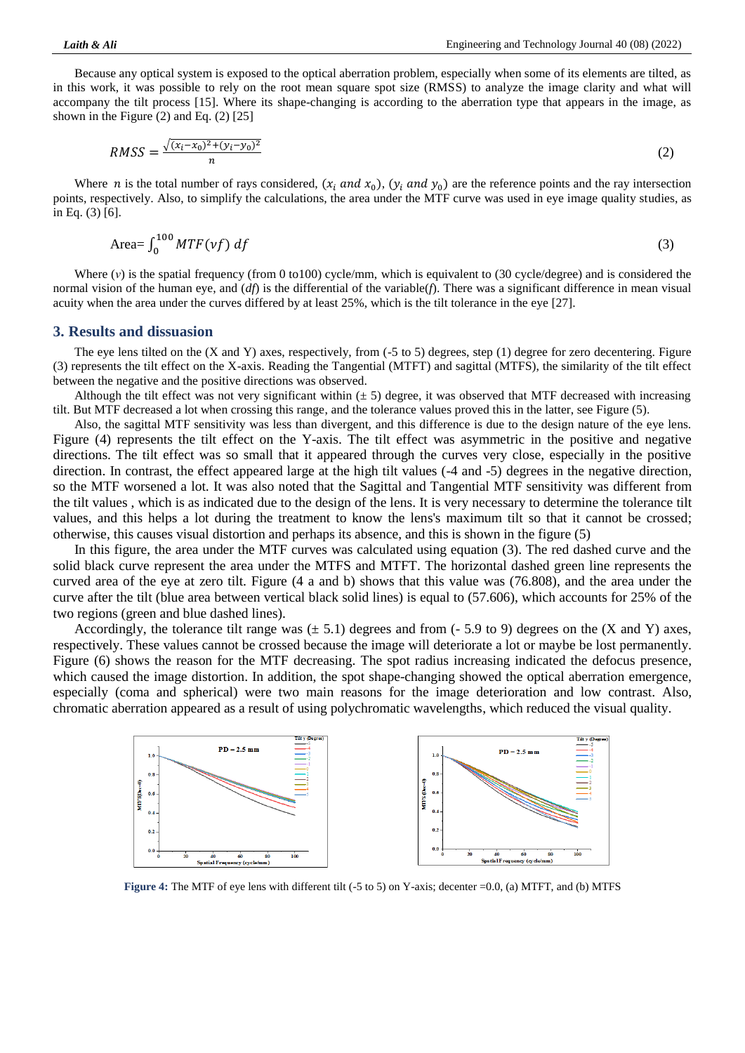Because any optical system is exposed to the optical aberration problem, especially when some of its elements are tilted, as in this work, it was possible to rely on the root mean square spot size (RMSS) to analyze the image clarity and what will accompany the tilt process [15]. Where its shape-changing is according to the aberration type that appears in the image, as shown in the Figure (2) and Eq. (2) [25]

$$
RMSS = \frac{\sqrt{(x_i - x_0)^2 + (y_i - y_0)^2}}{n}
$$
 (2)

Where *n* is the total number of rays considered,  $(x_i$  and  $x_0$ ),  $(y_i$  and  $y_0)$  are the reference points and the ray intersection points, respectively. Also, to simplify the calculations, the area under the MTF curve was used in eye image quality studies, as in Eq. (3) [6].

$$
\text{Area} = \int_0^{100} MTF(vf) \, df \tag{3}
$$

Where (*ν*) is the spatial frequency (from 0 to100) cycle/mm, which is equivalent to (30 cycle/degree) and is considered the normal vision of the human eye, and (*df*) is the differential of the variable(*f*). There was a significant difference in mean visual acuity when the area under the curves differed by at least 25%, which is the tilt tolerance in the eye [27].

#### **3. Results and dissuasion**

The eye lens tilted on the (X and Y) axes, respectively, from (-5 to 5) degrees, step (1) degree for zero decentering. Figure (3) represents the tilt effect on the X-axis. Reading the Tangential (MTFT) and sagittal (MTFS), the similarity of the tilt effect between the negative and the positive directions was observed.

Although the tilt effect was not very significant within  $(\pm 5)$  degree, it was observed that MTF decreased with increasing tilt. But MTF decreased a lot when crossing this range, and the tolerance values proved this in the latter, see Figure (5).

Also, the sagittal MTF sensitivity was less than divergent, and this difference is due to the design nature of the eye lens. Figure (4) represents the tilt effect on the Y-axis. The tilt effect was asymmetric in the positive and negative directions. The tilt effect was so small that it appeared through the curves very close, especially in the positive direction. In contrast, the effect appeared large at the high tilt values (-4 and -5) degrees in the negative direction, so the MTF worsened a lot. It was also noted that the Sagittal and Tangential MTF sensitivity was different from the tilt values , which is as indicated due to the design of the lens. It is very necessary to determine the tolerance tilt values, and this helps a lot during the treatment to know the lens's maximum tilt so that it cannot be crossed; otherwise, this causes visual distortion and perhaps its absence, and this is shown in the figure (5)

In this figure, the area under the MTF curves was calculated using equation (3). The red dashed curve and the solid black curve represent the area under the MTFS and MTFT. The horizontal dashed green line represents the curved area of the eye at zero tilt. Figure (4 a and b) shows that this value was (76.808), and the area under the curve after the tilt (blue area between vertical black solid lines) is equal to (57.606), which accounts for 25% of the two regions (green and blue dashed lines).

Accordingly, the tolerance tilt range was  $(\pm 5.1)$  degrees and from (-5.9 to 9) degrees on the (X and Y) axes, respectively. These values cannot be crossed because the image will deteriorate a lot or maybe be lost permanently. Figure (6) shows the reason for the MTF decreasing. The spot radius increasing indicated the defocus presence, which caused the image distortion. In addition, the spot shape-changing showed the optical aberration emergence, especially (coma and spherical) were two main reasons for the image deterioration and low contrast. Also, chromatic aberration appeared as a result of using polychromatic wavelengths, which reduced the visual quality.



**Figure 4:** The MTF of eye lens with different tilt (-5 to 5) on Y-axis; decenter =0.0, (a) MTFT, and (b) MTFS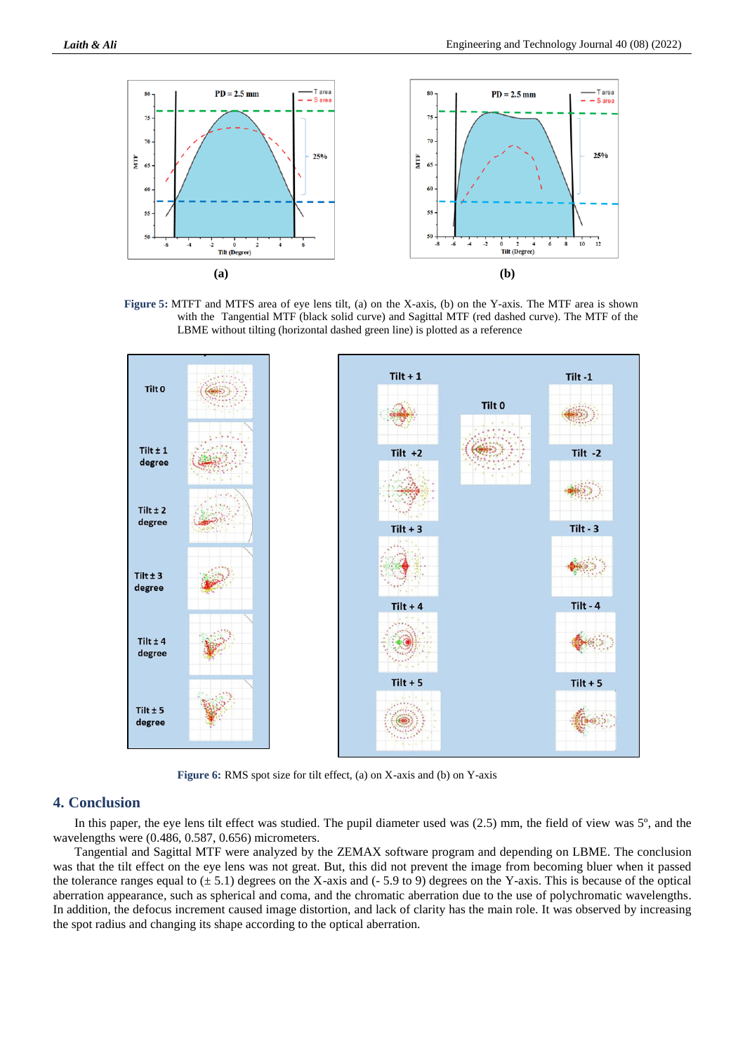

**Figure 5:** MTFT and MTFS area of eye lens tilt, (a) on the X-axis, (b) on the Y-axis. The MTF area is shown with the Tangential MTF (black solid curve) and Sagittal MTF (red dashed curve). The MTF of the LBME without tilting (horizontal dashed green line) is plotted as a reference



**Figure 6:** RMS spot size for tilt effect, (a) on X-axis and (b) on Y-axis

#### **4. Conclusion**

In this paper, the eye lens tilt effect was studied. The pupil diameter used was (2.5) mm, the field of view was 5º, and the wavelengths were (0.486, 0.587, 0.656) micrometers.

Tangential and Sagittal MTF were analyzed by the ZEMAX software program and depending on LBME. The conclusion was that the tilt effect on the eye lens was not great. But, this did not prevent the image from becoming bluer when it passed the tolerance ranges equal to  $(\pm 5.1)$  degrees on the X-axis and (-5.9 to 9) degrees on the Y-axis. This is because of the optical aberration appearance, such as spherical and coma, and the chromatic aberration due to the use of polychromatic wavelengths. In addition, the defocus increment caused image distortion, and lack of clarity has the main role. It was observed by increasing the spot radius and changing its shape according to the optical aberration.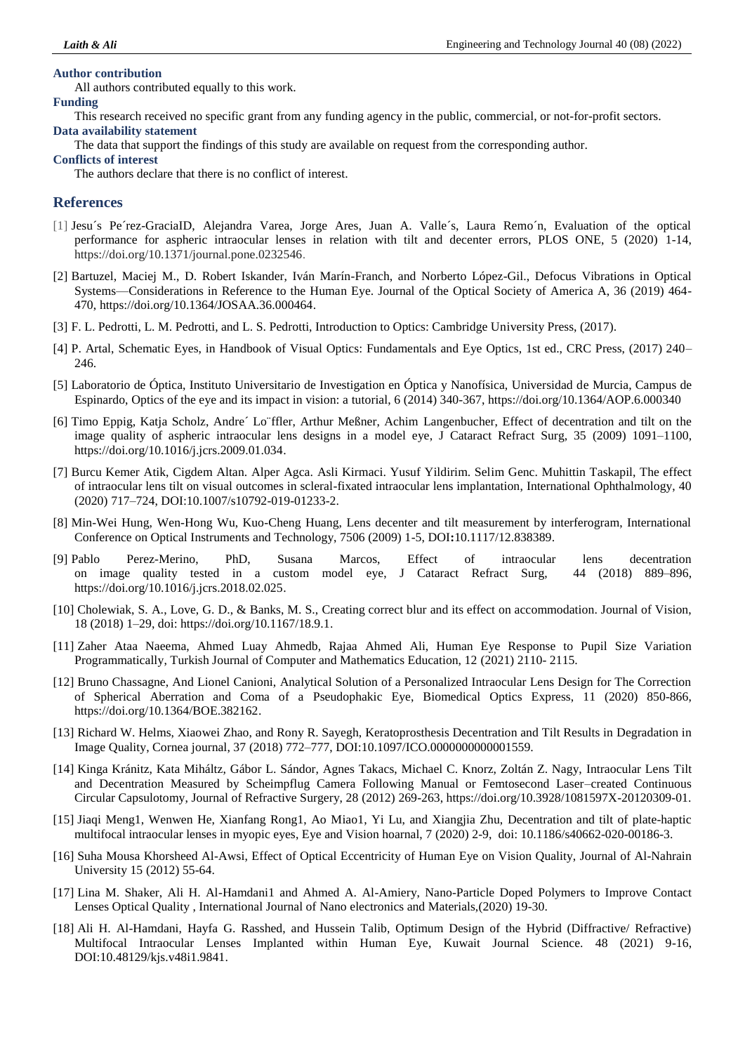#### **Author contribution**

All authors contributed equally to this work.

#### **Funding**

This research received no specific grant from any funding agency in the public, commercial, or not-for-profit sectors. **Data availability statement**

The data that support the findings of this study are available on request from the corresponding author.

#### **Conflicts of interest**

The authors declare that there is no conflict of interest.

#### **References**

- [1] Jesu´s Pe´rez-GraciaID, Alejandra Varea, Jorge Ares, Juan A. Valle´s, Laura Remo´n, Evaluation of the optical performance for aspheric intraocular lenses in relation with tilt and decenter errors, PLOS ONE, 5 (2020) 1-14, [https://doi.org/10.1371/journal.pone.0232546.](https://doi.org/10.1371/journal.pone.0232546)
- [2] Bartuzel, Maciej M., D. Robert Iskander, Iván Marín-Franch, and Norberto López-Gil., Defocus Vibrations in Optical Systems—Considerations in Reference to the Human Eye. Journal of the Optical Society of America A, 36 (2019) 464- 470[, https://doi.org/10.1364/JOSAA.36.000464.](https://doi.org/10.1364/JOSAA.36.000464)
- [3] F. L. Pedrotti, L. M. Pedrotti, and L. S. Pedrotti, Introduction to Optics: Cambridge University Press, (2017).
- [4] P. Artal, Schematic Eyes, in Handbook of Visual Optics: Fundamentals and Eye Optics, 1st ed., CRC Press, (2017) 240– 246.
- [5] Laboratorio de Óptica, Instituto Universitario de Investigation en Óptica y Nanofísica, Universidad de Murcia, Campus de Espinardo, Optics of the eye and its impact in vision: a tutorial, 6 (2014) 340-367, https://doi.org/10.1364/AOP.6.000340
- [6] Timo Eppig, Katja Scholz, Andre´ Lo¨ffler, Arthur Meßner, Achim Langenbucher, Effect of decentration and tilt on the image quality of aspheric intraocular lens designs in a model eye, J Cataract Refract Surg, 35 (2009) 1091–1100, https://doi.org/10.1016/j.jcrs.2009.01.034.
- [7] Burcu Kemer Atik, Cigdem Altan. Alper Agca. Asli Kirmaci. Yusuf Yildirim. Selim Genc. Muhittin Taskapil, The effect of intraocular lens tilt on visual outcomes in scleral-fixated intraocular lens implantation, International Ophthalmology, 40 (2020) 717–724, DOI[:10.1007/s10792-019-01233-2.](https://link.springer.com/article/10.1007/s10792-019-01233-2)
- [8] Min-Wei Hung, Wen-Hong Wu, Kuo-Cheng Huang, Lens decenter and tilt measurement by interferogram, International Conference on Optical Instruments and Technology, 7506 (2009) 1-5, DOI**:**[10.1117/12.838389.](https://ui.adsabs.harvard.edu/link_gateway/2009SPIE.7506E..0RH/doi:10.1117/12.838389)
- [9] Pablo Perez-Merino, PhD, Susana Marcos, Effect of intraocular lens decentration on image quality tested in a custom model eye, J Cataract Refract Surg, 44 (2018) 889–896, https://doi.org/10.1016/j.jcrs.2018.02.025.
- [10] Cholewiak, S. A., Love, G. D., & Banks, M. S., Creating correct blur and its effect on accommodation. Journal of Vision, 18 (2018) 1–29, doi: [https://doi.org/10.1167/18.9.1.](https://doi.org/10.1167/18.9.1)
- [11] Zaher Ataa Naeema, Ahmed Luay Ahmedb, Rajaa Ahmed Ali, Human Eye Response to Pupil Size Variation Programmatically, Turkish Journal of Computer and Mathematics Education, 12 (2021) 2110- 2115.
- [12] Bruno Chassagne, And Lionel Canioni, Analytical Solution of a Personalized Intraocular Lens Design for The Correction of Spherical Aberration and Coma of a Pseudophakic Eye, Biomedical Optics Express, 11 (2020) 850-866, https://doi.org/10.1364/BOE.382162.
- [13] Richard W. Helms, Xiaowei Zhao, and Rony R. Sayegh, Keratoprosthesis Decentration and Tilt Results in Degradation in Image Quality, Cornea journal, 37 (2018) 772–777, DOI[:10.1097/ICO.0000000000001559.](http://dx.doi.org/10.1097/ICO.0000000000001559)
- [14] Kinga Kránitz, Kata Miháltz, Gábor L. Sándor, Agnes Takacs, Michael C. Knorz, Zoltán Z. Nagy, Intraocular Lens Tilt and Decentration Measured by Scheimpflug Camera Following Manual or Femtosecond Laser–created Continuous Circular Capsulotomy, Journal of Refractive Surgery, 28 (2012) 269-263[, https://doi.org/10.3928/1081597X-20120309-01.](https://doi.org/10.3928/1081597X-20120309-01)
- [15] Jiaqi Meng1, Wenwen He, Xianfang Rong1, Ao Miao1, Yi Lu, and Xiangjia Zhu, Decentration and tilt of plate-haptic multifocal intraocular lenses in myopic eyes, Eye and Vision hoarnal, 7 (2020) 2-9, doi: [10.1186/s40662-020-00186-3.](https://dx.doi.org/10.1186%2Fs40662-020-00186-3)
- [16] Suha Mousa Khorsheed Al-Awsi, Effect of Optical Eccentricity of Human Eye on Vision Quality, Journal of Al-Nahrain University 15 (2012) 55-64.
- [17] Lina M. Shaker, Ali H. Al-Hamdani1 and Ahmed A. Al-Amiery, Nano-Particle Doped Polymers to Improve Contact Lenses Optical Quality , International Journal of Nano electronics and Materials,(2020) 19-30.
- [18] Ali H. Al-Hamdani, Hayfa G. Rasshed, and Hussein Talib, Optimum Design of the Hybrid (Diffractive/ Refractive) Multifocal Intraocular Lenses Implanted within Human Eye, Kuwait Journal Science. 48 (2021) 9-16, DOI[:10.48129/kjs.v48i1.9841.](http://dx.doi.org/10.48129/kjs.v48i1.9841)